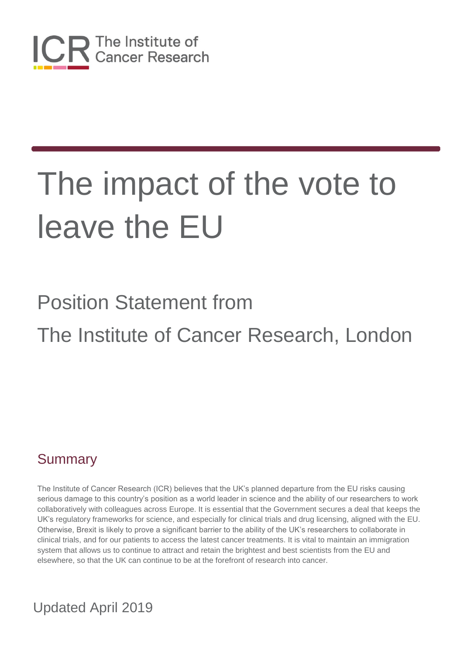

# Position Statement from The Institute of Cancer Research, London

### **Summary**

The Institute of Cancer Research (ICR) believes that the UK's planned departure from the EU risks causing serious damage to this country's position as a world leader in science and the ability of our researchers to work collaboratively with colleagues across Europe. It is essential that the Government secures a deal that keeps the UK's regulatory frameworks for science, and especially for clinical trials and drug licensing, aligned with the EU. Otherwise, Brexit is likely to prove a significant barrier to the ability of the UK's researchers to collaborate in clinical trials, and for our patients to access the latest cancer treatments. It is vital to maintain an immigration system that allows us to continue to attract and retain the brightest and best scientists from the EU and elsewhere, so that the UK can continue to be at the forefront of research into cancer.

### Updated April 2019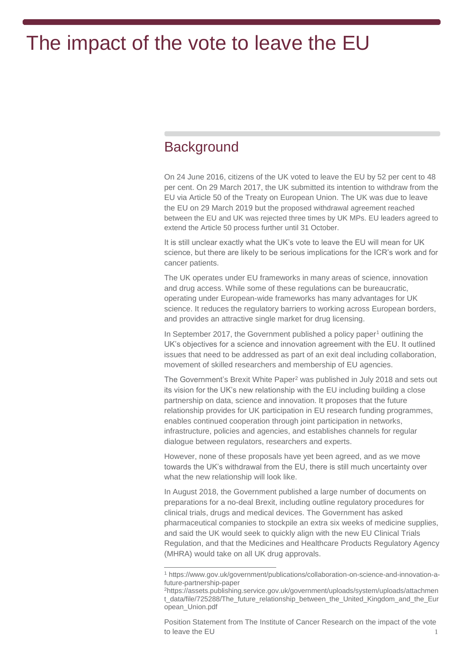### **Background**

 $\overline{a}$ 

On 24 June 2016, citizens of the UK voted to leave the EU by 52 per cent to 48 per cent. On 29 March 2017, the UK submitted its intention to withdraw from the EU via Article 50 of the Treaty on European Union. The UK was due to leave the EU on 29 March 2019 but the proposed withdrawal agreement reached between the EU and UK was rejected three times by UK MPs. EU leaders agreed to extend the Article 50 process further until 31 October.

It is still unclear exactly what the UK's vote to leave the EU will mean for UK science, but there are likely to be serious implications for the ICR's work and for cancer patients.

The UK operates under EU frameworks in many areas of science, innovation and drug access. While some of these regulations can be bureaucratic, operating under European-wide frameworks has many advantages for UK science. It reduces the regulatory barriers to working across European borders, and provides an attractive single market for drug licensing.

In September 2017, the Government published a policy paper<sup>1</sup> outlining the UK's objectives for a science and innovation agreement with the EU. It outlined issues that need to be addressed as part of an exit deal including collaboration, movement of skilled researchers and membership of EU agencies.

The Government's Brexit White Paper<sup>2</sup> was published in July 2018 and sets out its vision for the UK's new relationship with the EU including building a close partnership on data, science and innovation. It proposes that the future relationship provides for UK participation in EU research funding programmes, enables continued cooperation through joint participation in networks, infrastructure, policies and agencies, and establishes channels for regular dialogue between regulators, researchers and experts.

However, none of these proposals have yet been agreed, and as we move towards the UK's withdrawal from the EU, there is still much uncertainty over what the new relationship will look like.

In August 2018, the Government published a large number of documents on preparations for a no-deal Brexit, including outline regulatory procedures for clinical trials, drugs and medical devices. The Government has asked pharmaceutical companies to stockpile an extra six weeks of medicine supplies, and said the UK would seek to quickly align with the new EU Clinical Trials Regulation, and that the Medicines and Healthcare Products Regulatory Agency (MHRA) would take on all UK drug approvals.

<sup>1</sup> https://www.gov.uk/government/publications/collaboration-on-science-and-innovation-afuture-partnership-paper

<sup>2</sup>https://assets.publishing.service.gov.uk/government/uploads/system/uploads/attachmen t\_data/file/725288/The\_future\_relationship\_between\_the\_United\_Kingdom\_and\_the\_Eur opean\_Union.pdf

Position Statement from The Institute of Cancer Research on the impact of the vote to leave the EU 1 and 1 and 1 and 1 and 1 and 1 and 1 and 1 and 1 and 1 and 1 and 1 and 1 and 1 and 1 and 1 and 1 and 1 and 1 and 1 and 1 and 1 and 1 and 1 and 1 and 1 and 1 and 1 and 1 and 1 and 1 and 1 and 1 and 1 and 1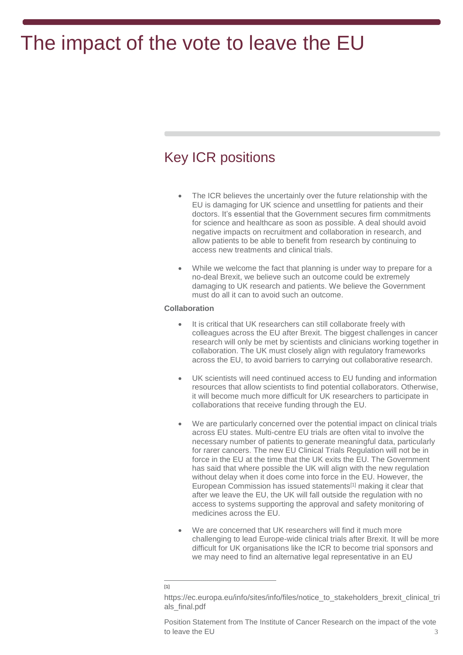### Key ICR positions

- The ICR believes the uncertainly over the future relationship with the EU is damaging for UK science and unsettling for patients and their doctors. It's essential that the Government secures firm commitments for science and healthcare as soon as possible. A deal should avoid negative impacts on recruitment and collaboration in research, and allow patients to be able to benefit from research by continuing to access new treatments and clinical trials.
- While we welcome the fact that planning is under way to prepare for a no-deal Brexit, we believe such an outcome could be extremely damaging to UK research and patients. We believe the Government must do all it can to avoid such an outcome.

#### **Collaboration**

- It is critical that UK researchers can still collaborate freely with colleagues across the EU after Brexit. The biggest challenges in cancer research will only be met by scientists and clinicians working together in collaboration. The UK must closely align with regulatory frameworks across the EU, to avoid barriers to carrying out collaborative research.
- UK scientists will need continued access to EU funding and information resources that allow scientists to find potential collaborators. Otherwise, it will become much more difficult for UK researchers to participate in collaborations that receive funding through the EU.
- We are particularly concerned over the potential impact on clinical trials across EU states. Multi-centre EU trials are often vital to involve the necessary number of patients to generate meaningful data, particularly for rarer cancers. The new EU Clinical Trials Regulation will not be in force in the EU at the time that the UK exits the EU. The Government has said that where possible the UK will align with the new regulation without delay when it does come into force in the EU. However, the European Commission has issued statements[1] making it clear that after we leave the EU, the UK will fall outside the regulation with no access to systems supporting the approval and safety monitoring of medicines across the EU.
- We are concerned that UK researchers will find it much more challenging to lead Europe-wide clinical trials after Brexit. It will be more difficult for UK organisations like the ICR to become trial sponsors and we may need to find an alternative legal representative in an EU

 $\overline{a}$ [1]

https://ec.europa.eu/info/sites/info/files/notice\_to\_stakeholders\_brexit\_clinical\_tri als\_final.pdf

Position Statement from The Institute of Cancer Research on the impact of the vote to leave the EU 3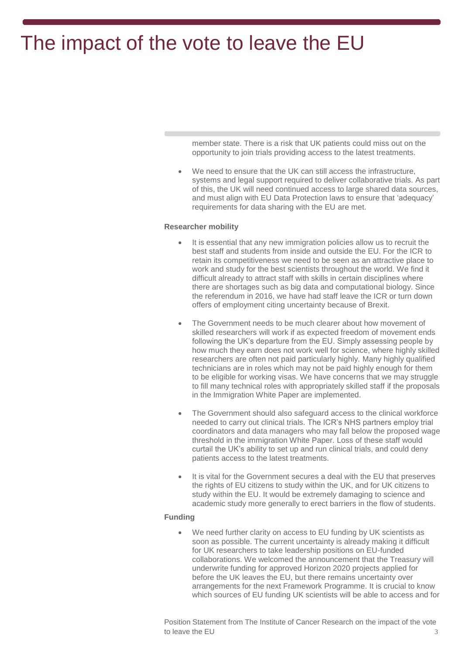member state. There is a risk that UK patients could miss out on the opportunity to join trials providing access to the latest treatments.

 We need to ensure that the UK can still access the infrastructure, systems and legal support required to deliver collaborative trials. As part of this, the UK will need continued access to large shared data sources, and must align with EU Data Protection laws to ensure that 'adequacy' requirements for data sharing with the EU are met.

#### **Researcher mobility**

- It is essential that any new immigration policies allow us to recruit the best staff and students from inside and outside the EU. For the ICR to retain its competitiveness we need to be seen as an attractive place to work and study for the best scientists throughout the world. We find it difficult already to attract staff with skills in certain disciplines where there are shortages such as big data and computational biology. Since the referendum in 2016, we have had staff leave the ICR or turn down offers of employment citing uncertainty because of Brexit.
- The Government needs to be much clearer about how movement of skilled researchers will work if as expected freedom of movement ends following the UK's departure from the EU. Simply assessing people by how much they earn does not work well for science, where highly skilled researchers are often not paid particularly highly. Many highly qualified technicians are in roles which may not be paid highly enough for them to be eligible for working visas. We have concerns that we may struggle to fill many technical roles with appropriately skilled staff if the proposals in the Immigration White Paper are implemented.
- The Government should also safeguard access to the clinical workforce needed to carry out clinical trials. The ICR's NHS partners employ trial coordinators and data managers who may fall below the proposed wage threshold in the immigration White Paper. Loss of these staff would curtail the UK's ability to set up and run clinical trials, and could deny patients access to the latest treatments.
- It is vital for the Government secures a deal with the EU that preserves the rights of EU citizens to study within the UK, and for UK citizens to study within the EU. It would be extremely damaging to science and academic study more generally to erect barriers in the flow of students.

#### **Funding**

We need further clarity on access to EU funding by UK scientists as soon as possible. The current uncertainty is already making it difficult for UK researchers to take leadership positions on EU-funded collaborations. We welcomed the announcement that the Treasury will underwrite funding for approved Horizon 2020 projects applied for before the UK leaves the EU, but there remains uncertainty over arrangements for the next Framework Programme. It is crucial to know which sources of EU funding UK scientists will be able to access and for

Position Statement from The Institute of Cancer Research on the impact of the vote to leave the EU 3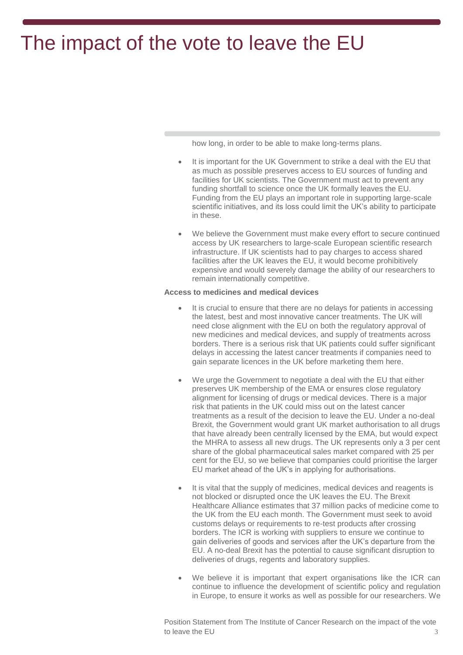how long, in order to be able to make long-terms plans.

- It is important for the UK Government to strike a deal with the EU that as much as possible preserves access to EU sources of funding and facilities for UK scientists. The Government must act to prevent any funding shortfall to science once the UK formally leaves the EU. Funding from the EU plays an important role in supporting large-scale scientific initiatives, and its loss could limit the UK's ability to participate in these.
- We believe the Government must make every effort to secure continued access by UK researchers to large-scale European scientific research infrastructure. If UK scientists had to pay charges to access shared facilities after the UK leaves the EU, it would become prohibitively expensive and would severely damage the ability of our researchers to remain internationally competitive.

#### **Access to medicines and medical devices**

- It is crucial to ensure that there are no delays for patients in accessing the latest, best and most innovative cancer treatments. The UK will need close alignment with the EU on both the regulatory approval of new medicines and medical devices, and supply of treatments across borders. There is a serious risk that UK patients could suffer significant delays in accessing the latest cancer treatments if companies need to gain separate licences in the UK before marketing them here.
- We urge the Government to negotiate a deal with the EU that either preserves UK membership of the EMA or ensures close regulatory alignment for licensing of drugs or medical devices. There is a major risk that patients in the UK could miss out on the latest cancer treatments as a result of the decision to leave the EU. Under a no-deal Brexit, the Government would grant UK market authorisation to all drugs that have already been centrally licensed by the EMA, but would expect the MHRA to assess all new drugs. The UK represents only a 3 per cent share of the global pharmaceutical sales market compared with 25 per cent for the EU, so we believe that companies could prioritise the larger EU market ahead of the UK's in applying for authorisations.
- It is vital that the supply of medicines, medical devices and reagents is not blocked or disrupted once the UK leaves the EU. The Brexit Healthcare Alliance estimates that 37 million packs of medicine come to the UK from the EU each month. The Government must seek to avoid customs delays or requirements to re-test products after crossing borders. The ICR is working with suppliers to ensure we continue to gain deliveries of goods and services after the UK's departure from the EU. A no-deal Brexit has the potential to cause significant disruption to deliveries of drugs, regents and laboratory supplies.
- We believe it is important that expert organisations like the ICR can continue to influence the development of scientific policy and regulation in Europe, to ensure it works as well as possible for our researchers. We

Position Statement from The Institute of Cancer Research on the impact of the vote to leave the EU 3